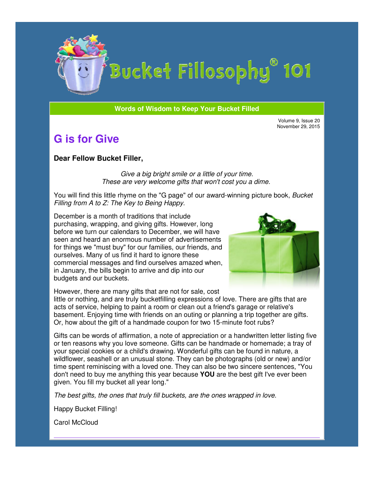

# Bucket Fillosophy<sup>®</sup> 101

#### **Words of Wisdom to Keep Your Bucket Filled Wisdom**

Volume 9, Issue 20 November 29, 2015

## **G is for Give**

#### **Dear Fellow Bucket Filler Filler,**

*Give a big bright smile or a little of your time. Give a big bright smile or a little of your time.*<br>These are very welcome gifts that won't cost you a dime.

You will find this little rhyme on the "G page" of our award-winning picture book, *Filling from A to Z: The Key to Being Happy.* 

December is a month of traditions that include purchasing, wrapping, and giving gifts. However, long before we turn our calendars to December, we will have seen and heard an enormous number of advertisements for things we "must buy" for our families, our friends, ourselves. Many of us find it hard to ignore these ourselves. Many of us find it hard to ignore these<br>commercial messages and find ourselves amazed when, in January, the bills begin to arrive and dip into our budgets and our buckets. sing, wrapping, and giving gifts. However, long<br>we turn our calendars to December, we will have<br>nd heard an enormous number of advertisements<br>gs we "must buy" for our families, our friends, and



However, there are many gifts that are not for sale, cost

little or nothing, and are truly bucketfilling expressions of love. There are gifts that are acts of service, helping to paint a room or clean out a friend's garage or relative's basement. Enjoying time with friends on an outing or planning a trip together are gifts. Or, how about the gift of a handmade coupon for two 15-minute foot rubs? the bills begin to arrive and dip into our<br>d our buckets.<br>lere are many gifts that are not for sale, cost<br>ing, and are truly bucketfilling expressions of love. There are gifts that<br>ice, helping to paint a room or clean out

Gifts can be words of affirmation, a note of appreciation or a handwritten letter listing five or ten reasons why you love someone. Gifts can be handmade or homemade; a tray of your special cookies or a child's drawing. Wonderful gifts can be found in nature, a wildflower, seashell or an unusual stone. They can be photographs (old or new) and/or time spent reminiscing with a loved one. They can also be two sincere sentences, "Y don't need to buy me anything this year because YOU are the best gift given. You fill my bucket all year long." of affirmation, a note of appreciation or a handwritten letter listing five<br>you love someone. Gifts can be handmade or homemade; a tray of<br>s or a child's drawing. Wonderful gifts can be found in nature, a<br>or an unusual sto "You

*The best gifts, the ones that truly fill buckets, are the ones wrapped in love.*

Happy Bucket Filling!

Carol McCloud